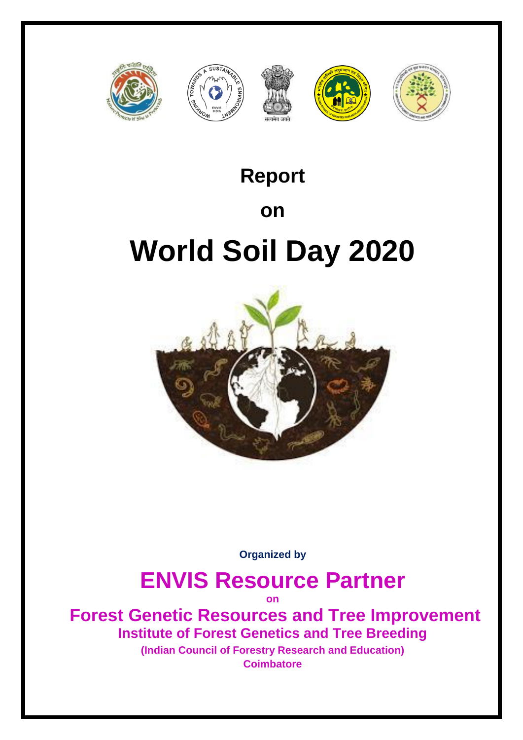

## **Report on World Soil Day 2020**



**Organized by**

## **ENVIS Resource Partner**

**on**

**Forest Genetic Resources and Tree Improvement Institute of Forest Genetics and Tree Breeding (Indian Council of Forestry Research and Education) Coimbatore**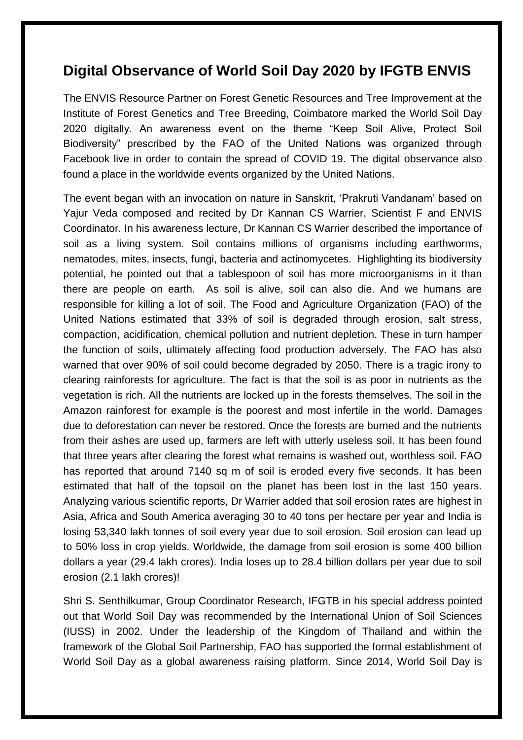## **Digital Observance of World Soil Day 2020 by IFGTB ENVIS**

The ENVIS Resource Partner on Forest Genetic Resources and Tree Improvement at the Institute of Forest Genetics and Tree Breeding, Coimbatore marked the World Soil Day 2020 digitally. An awareness event on the theme "Keep Soil Alive, Protect Soil Biodiversity" prescribed by the FAO of the United Nations was organized through Facebook live in order to contain the spread of COVID 19. The digital observance also found a place in the worldwide events organized by the United Nations.

The event began with an invocation on nature in Sanskrit, "Prakruti Vandanam" based on Yajur Veda composed and recited by Dr Kannan CS Warrier, Scientist F and ENVIS Coordinator. In his awareness lecture, Dr Kannan CS Warrier described the importance of soil as a living system. Soil contains millions of organisms including earthworms, nematodes, mites, insects, fungi, bacteria and actinomycetes. Highlighting its biodiversity potential, he pointed out that a tablespoon of soil has more microorganisms in it than there are people on earth. As soil is alive, soil can also die. And we humans are responsible for killing a lot of soil. The Food and Agriculture Organization (FAO) of the United Nations estimated that 33% of soil is degraded through erosion, salt stress, compaction, acidification, chemical pollution and nutrient depletion. These in turn hamper the function of soils, ultimately affecting food production adversely. The FAO has also warned that over 90% of soil could become degraded by 2050. There is a tragic irony to clearing rainforests for agriculture. The fact is that the soil is as poor in nutrients as the vegetation is rich. All the nutrients are locked up in the forests themselves. The soil in the Amazon rainforest for example is the poorest and most infertile in the world. Damages due to deforestation can never be restored. Once the forests are burned and the nutrients from their ashes are used up, farmers are left with utterly useless soil. It has been found that three years after clearing the forest what remains is washed out, worthless soil. FAO has reported that around 7140 sq m of soil is eroded every five seconds. It has been estimated that half of the topsoil on the planet has been lost in the last 150 years. Analyzing various scientific reports, Dr Warrier added that soil erosion rates are highest in Asia, Africa and South America averaging 30 to 40 tons per hectare per year and India is losing 53,340 lakh tonnes of soil every year due to soil erosion. Soil erosion can lead up to 50% loss in crop yields. Worldwide, the damage from soil erosion is some 400 billion dollars a year (29.4 lakh crores). India loses up to 28.4 billion dollars per year due to soil erosion (2.1 lakh crores)!

Shri S. Senthilkumar, Group Coordinator Research, IFGTB in his special address pointed out that World Soil Day was recommended by the International Union of Soil Sciences (IUSS) in 2002. Under the leadership of the Kingdom of Thailand and within the framework of the Global Soil Partnership, FAO has supported the formal establishment of World Soil Day as a global awareness raising platform. Since 2014, World Soil Day is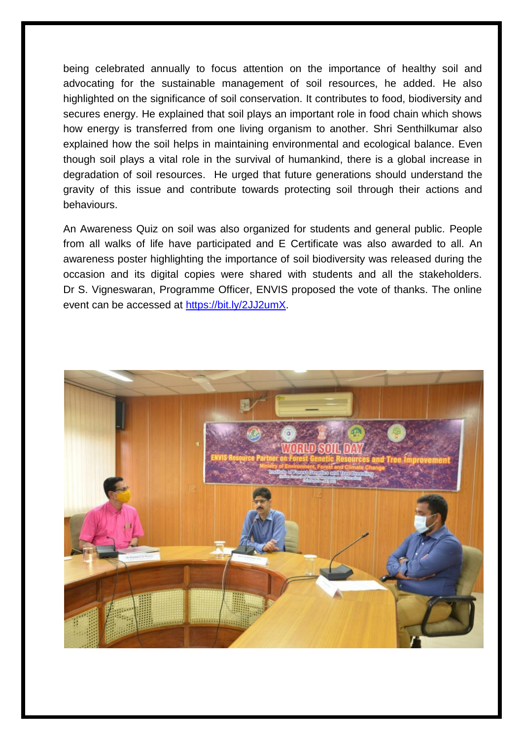being celebrated annually to focus attention on the importance of healthy soil and advocating for the sustainable management of soil resources, he added. He also highlighted on the significance of soil conservation. It contributes to food, biodiversity and secures energy. He explained that soil plays an important role in food chain which shows how energy is transferred from one living organism to another. Shri Senthilkumar also explained how the soil helps in maintaining environmental and ecological balance. Even though soil plays a vital role in the survival of humankind, there is a global increase in degradation of soil resources. He urged that future generations should understand the gravity of this issue and contribute towards protecting soil through their actions and behaviours.

An Awareness Quiz on soil was also organized for students and general public. People from all walks of life have participated and E Certificate was also awarded to all. An awareness poster highlighting the importance of soil biodiversity was released during the occasion and its digital copies were shared with students and all the stakeholders. Dr S. Vigneswaran, Programme Officer, ENVIS proposed the vote of thanks. The online event can be accessed at [https://bit.ly/2JJ2umX.](https://bit.ly/2JJ2umX)

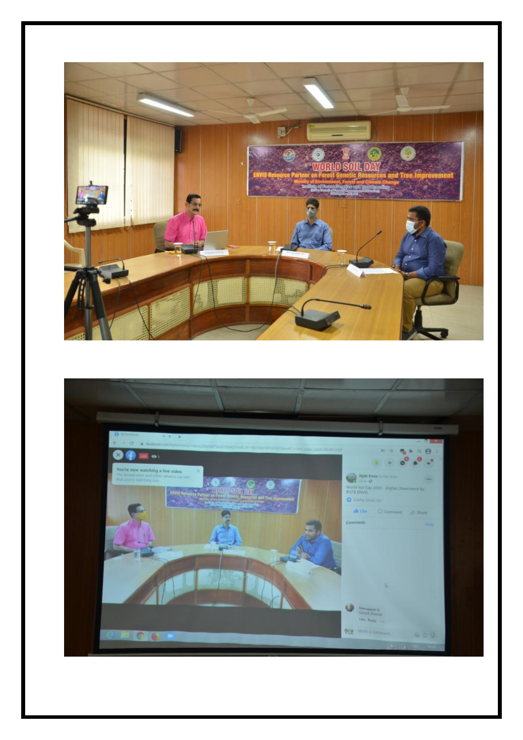

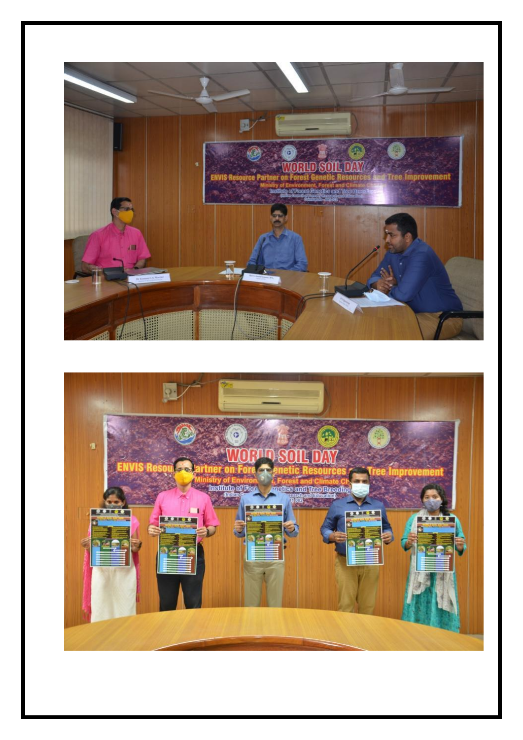